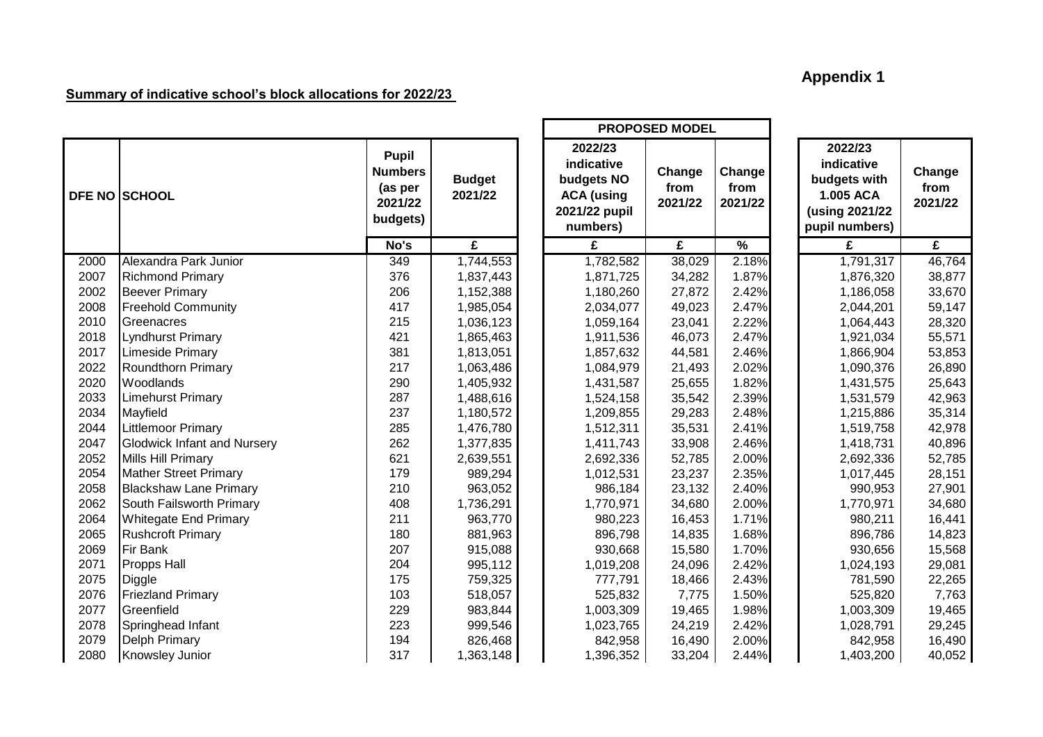## **Appendix 1**

┓

## **Summary of indicative school's block allocations for 2022/23**

|      |                                    |                                                                  |                          | <b>PROPOSED MODEL</b>                                                                 |                           |                           |  |                                                                                        |                           |
|------|------------------------------------|------------------------------------------------------------------|--------------------------|---------------------------------------------------------------------------------------|---------------------------|---------------------------|--|----------------------------------------------------------------------------------------|---------------------------|
|      | <b>DFE NO SCHOOL</b>               | <b>Pupil</b><br><b>Numbers</b><br>(as per<br>2021/22<br>budgets) | <b>Budget</b><br>2021/22 | 2022/23<br>indicative<br>budgets NO<br><b>ACA (using</b><br>2021/22 pupil<br>numbers) | Change<br>from<br>2021/22 | Change<br>from<br>2021/22 |  | 2022/23<br>indicative<br>budgets with<br>1.005 ACA<br>(using 2021/22<br>pupil numbers) | Change<br>from<br>2021/22 |
|      |                                    | No's                                                             | £                        | £                                                                                     | £                         | $\frac{9}{6}$             |  | £                                                                                      | £                         |
| 2000 | Alexandra Park Junior              | 349                                                              | 1,744,553                | 1,782,582                                                                             | 38,029                    | 2.18%                     |  | 1,791,317                                                                              | 46,764                    |
| 2007 | <b>Richmond Primary</b>            | 376                                                              | 1,837,443                | 1,871,725                                                                             | 34,282                    | 1.87%                     |  | 1,876,320                                                                              | 38,877                    |
| 2002 | <b>Beever Primary</b>              | 206                                                              | 1,152,388                | 1,180,260                                                                             | 27,872                    | 2.42%                     |  | 1,186,058                                                                              | 33,670                    |
| 2008 | <b>Freehold Community</b>          | 417                                                              | 1,985,054                | 2,034,077                                                                             | 49,023                    | 2.47%                     |  | 2,044,201                                                                              | 59,147                    |
| 2010 | Greenacres                         | 215                                                              | 1,036,123                | 1,059,164                                                                             | 23,041                    | 2.22%                     |  | 1,064,443                                                                              | 28,320                    |
| 2018 | Lyndhurst Primary                  | 421                                                              | 1,865,463                | 1,911,536                                                                             | 46,073                    | 2.47%                     |  | 1,921,034                                                                              | 55,571                    |
| 2017 | Limeside Primary                   | 381                                                              | 1,813,051                | 1,857,632                                                                             | 44,581                    | 2.46%                     |  | 1,866,904                                                                              | 53,853                    |
| 2022 | Roundthorn Primary                 | 217                                                              | 1,063,486                | 1,084,979                                                                             | 21,493                    | 2.02%                     |  | 1,090,376                                                                              | 26,890                    |
| 2020 | Woodlands                          | 290                                                              | 1,405,932                | 1,431,587                                                                             | 25,655                    | 1.82%                     |  | 1,431,575                                                                              | 25,643                    |
| 2033 | <b>Limehurst Primary</b>           | 287                                                              | 1,488,616                | 1,524,158                                                                             | 35,542                    | 2.39%                     |  | 1,531,579                                                                              | 42,963                    |
| 2034 | Mayfield                           | 237                                                              | 1,180,572                | 1,209,855                                                                             | 29,283                    | 2.48%                     |  | 1,215,886                                                                              | 35,314                    |
| 2044 | <b>Littlemoor Primary</b>          | 285                                                              | 1,476,780                | 1,512,311                                                                             | 35,531                    | 2.41%                     |  | 1,519,758                                                                              | 42,978                    |
| 2047 | <b>Glodwick Infant and Nursery</b> | 262                                                              | 1,377,835                | 1,411,743                                                                             | 33,908                    | 2.46%                     |  | 1,418,731                                                                              | 40,896                    |
| 2052 | Mills Hill Primary                 | 621                                                              | 2,639,551                | 2,692,336                                                                             | 52,785                    | 2.00%                     |  | 2,692,336                                                                              | 52,785                    |
| 2054 | <b>Mather Street Primary</b>       | 179                                                              | 989,294                  | 1,012,531                                                                             | 23,237                    | 2.35%                     |  | 1,017,445                                                                              | 28,151                    |
| 2058 | <b>Blackshaw Lane Primary</b>      | 210                                                              | 963,052                  | 986,184                                                                               | 23,132                    | 2.40%                     |  | 990,953                                                                                | 27,901                    |
| 2062 | South Failsworth Primary           | 408                                                              | 1,736,291                | 1,770,971                                                                             | 34,680                    | 2.00%                     |  | 1,770,971                                                                              | 34,680                    |
| 2064 | <b>Whitegate End Primary</b>       | 211                                                              | 963,770                  | 980,223                                                                               | 16,453                    | 1.71%                     |  | 980,211                                                                                | 16,441                    |
| 2065 | <b>Rushcroft Primary</b>           | 180                                                              | 881,963                  | 896,798                                                                               | 14,835                    | 1.68%                     |  | 896,786                                                                                | 14,823                    |
| 2069 | <b>Fir Bank</b>                    | 207                                                              | 915,088                  | 930,668                                                                               | 15,580                    | 1.70%                     |  | 930,656                                                                                | 15,568                    |
| 2071 | <b>Propps Hall</b>                 | 204                                                              | 995,112                  | 1,019,208                                                                             | 24,096                    | 2.42%                     |  | 1,024,193                                                                              | 29,081                    |
| 2075 | Diggle                             | 175                                                              | 759,325                  | 777,791                                                                               | 18,466                    | 2.43%                     |  | 781,590                                                                                | 22,265                    |
| 2076 | <b>Friezland Primary</b>           | 103                                                              | 518,057                  | 525,832                                                                               | 7,775                     | 1.50%                     |  | 525,820                                                                                | 7,763                     |
| 2077 | Greenfield                         | 229                                                              | 983,844                  | 1,003,309                                                                             | 19,465                    | 1.98%                     |  | 1,003,309                                                                              | 19,465                    |
| 2078 | Springhead Infant                  | 223                                                              | 999,546                  | 1,023,765                                                                             | 24,219                    | 2.42%                     |  | 1,028,791                                                                              | 29,245                    |
| 2079 | Delph Primary                      | 194                                                              | 826,468                  | 842,958                                                                               | 16,490                    | 2.00%                     |  | 842,958                                                                                | 16,490                    |
| 2080 | Knowsley Junior                    | 317                                                              | 1,363,148                | 1,396,352                                                                             | 33,204                    | 2.44%                     |  | 1,403,200                                                                              | 40,052                    |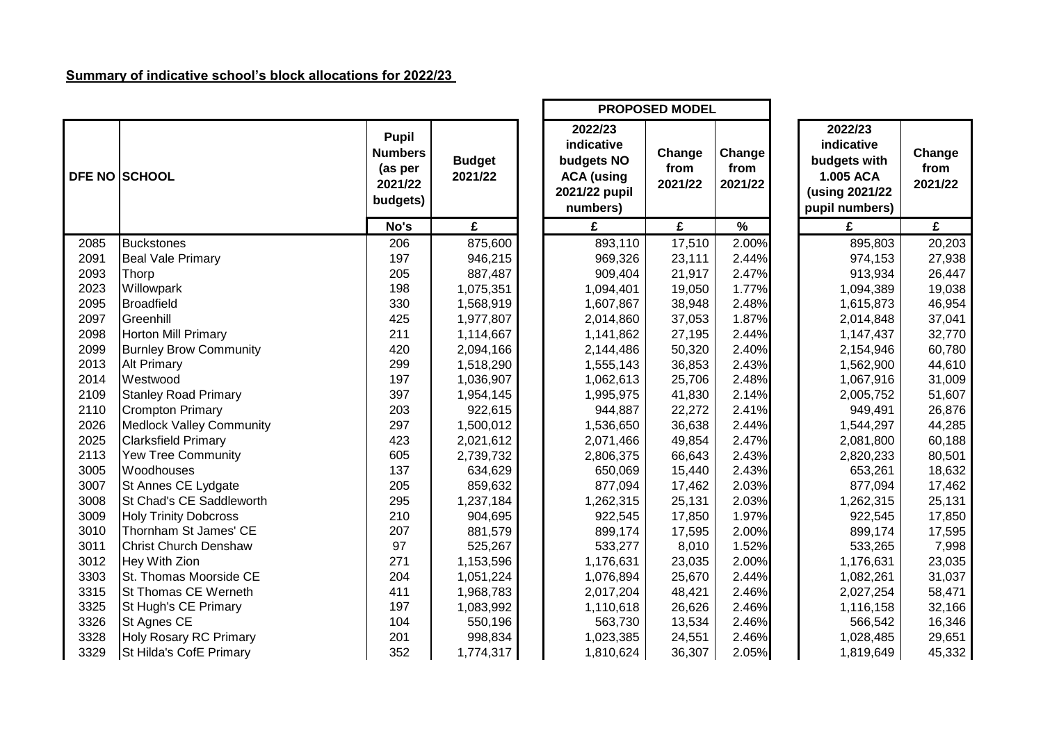## **Summary of indicative school's block allocations for 2022/23**

|      |                                 |                                                                  |                          |                                                                                       | <b>PROPOSED MODEL</b>     |                           |                                                                                        |                           |
|------|---------------------------------|------------------------------------------------------------------|--------------------------|---------------------------------------------------------------------------------------|---------------------------|---------------------------|----------------------------------------------------------------------------------------|---------------------------|
|      | <b>DFE NO SCHOOL</b>            | <b>Pupil</b><br><b>Numbers</b><br>(as per<br>2021/22<br>budgets) | <b>Budget</b><br>2021/22 | 2022/23<br>indicative<br>budgets NO<br><b>ACA</b> (using<br>2021/22 pupil<br>numbers) | Change<br>from<br>2021/22 | Change<br>from<br>2021/22 | 2022/23<br>indicative<br>budgets with<br>1.005 ACA<br>(using 2021/22<br>pupil numbers) | Change<br>from<br>2021/22 |
|      |                                 | No's                                                             | £                        | £                                                                                     | £                         | $\%$                      | £                                                                                      | £                         |
| 2085 | <b>Buckstones</b>               | 206                                                              | 875,600                  | 893,110                                                                               | 17,510                    | 2.00%                     | 895,803                                                                                | 20,203                    |
| 2091 | <b>Beal Vale Primary</b>        | 197                                                              | 946,215                  | 969,326                                                                               | 23,111                    | 2.44%                     | 974,153                                                                                | 27,938                    |
| 2093 | Thorp                           | 205                                                              | 887,487                  | 909,404                                                                               | 21,917                    | 2.47%                     | 913,934                                                                                | 26,447                    |
| 2023 | Willowpark                      | 198                                                              | 1,075,351                | 1,094,401                                                                             | 19,050                    | 1.77%                     | 1,094,389                                                                              | 19,038                    |
| 2095 | <b>Broadfield</b>               | 330                                                              | 1,568,919                | 1,607,867                                                                             | 38,948                    | 2.48%                     | 1,615,873                                                                              | 46,954                    |
| 2097 | Greenhill                       | 425                                                              | 1,977,807                | 2,014,860                                                                             | 37,053                    | 1.87%                     | 2,014,848                                                                              | 37,041                    |
| 2098 | Horton Mill Primary             | 211                                                              | 1,114,667                | 1,141,862                                                                             | 27,195                    | 2.44%                     | 1,147,437                                                                              | 32,770                    |
| 2099 | <b>Burnley Brow Community</b>   | 420                                                              | 2,094,166                | 2,144,486                                                                             | 50,320                    | 2.40%                     | 2,154,946                                                                              | 60,780                    |
| 2013 | <b>Alt Primary</b>              | 299                                                              | 1,518,290                | 1,555,143                                                                             | 36,853                    | 2.43%                     | 1,562,900                                                                              | 44,610                    |
| 2014 | Westwood                        | 197                                                              | 1,036,907                | 1,062,613                                                                             | 25,706                    | 2.48%                     | 1,067,916                                                                              | 31,009                    |
| 2109 | <b>Stanley Road Primary</b>     | 397                                                              | 1,954,145                | 1,995,975                                                                             | 41,830                    | 2.14%                     | 2,005,752                                                                              | 51,607                    |
| 2110 | <b>Crompton Primary</b>         | 203                                                              | 922,615                  | 944,887                                                                               | 22,272                    | 2.41%                     | 949,491                                                                                | 26,876                    |
| 2026 | <b>Medlock Valley Community</b> | 297                                                              | 1,500,012                | 1,536,650                                                                             | 36,638                    | 2.44%                     | 1,544,297                                                                              | 44,285                    |
| 2025 | <b>Clarksfield Primary</b>      | 423                                                              | 2,021,612                | 2,071,466                                                                             | 49,854                    | 2.47%                     | 2,081,800                                                                              | 60,188                    |
| 2113 | <b>Yew Tree Community</b>       | 605                                                              | 2,739,732                | 2,806,375                                                                             | 66,643                    | 2.43%                     | 2,820,233                                                                              | 80,501                    |
| 3005 | Woodhouses                      | 137                                                              | 634,629                  | 650,069                                                                               | 15,440                    | 2.43%                     | 653,261                                                                                | 18,632                    |
| 3007 | St Annes CE Lydgate             | 205                                                              | 859,632                  | 877,094                                                                               | 17,462                    | 2.03%                     | 877,094                                                                                | 17,462                    |
| 3008 | St Chad's CE Saddleworth        | 295                                                              | 1,237,184                | 1,262,315                                                                             | 25,131                    | 2.03%                     | 1,262,315                                                                              | 25,131                    |
| 3009 | <b>Holy Trinity Dobcross</b>    | 210                                                              | 904,695                  | 922,545                                                                               | 17,850                    | 1.97%                     | 922,545                                                                                | 17,850                    |
| 3010 | Thornham St James' CE           | 207                                                              | 881,579                  | 899,174                                                                               | 17,595                    | 2.00%                     | 899,174                                                                                | 17,595                    |
| 3011 | <b>Christ Church Denshaw</b>    | 97                                                               | 525,267                  | 533,277                                                                               | 8,010                     | 1.52%                     | 533,265                                                                                | 7,998                     |
| 3012 | Hey With Zion                   | 271                                                              | 1,153,596                | 1,176,631                                                                             | 23,035                    | 2.00%                     | 1,176,631                                                                              | 23,035                    |
| 3303 | St. Thomas Moorside CE          | 204                                                              | 1,051,224                | 1,076,894                                                                             | 25,670                    | 2.44%                     | 1,082,261                                                                              | 31,037                    |
| 3315 | <b>St Thomas CE Werneth</b>     | 411                                                              | 1,968,783                | 2,017,204                                                                             | 48,421                    | 2.46%                     | 2,027,254                                                                              | 58,471                    |
| 3325 | St Hugh's CE Primary            | 197                                                              | 1,083,992                | 1,110,618                                                                             | 26,626                    | 2.46%                     | 1,116,158                                                                              | 32,166                    |
| 3326 | St Agnes CE                     | 104                                                              | 550,196                  | 563,730                                                                               | 13,534                    | 2.46%                     | 566,542                                                                                | 16,346                    |
| 3328 | <b>Holy Rosary RC Primary</b>   | 201                                                              | 998,834                  | 1,023,385                                                                             | 24,551                    | 2.46%                     | 1,028,485                                                                              | 29,651                    |
| 3329 | St Hilda's CofE Primary         | 352                                                              | 1,774,317                | 1,810,624                                                                             | 36,307                    | 2.05%                     | 1,819,649                                                                              | 45,332                    |

Г

|                                               |                          |                                                                                       | <b>FRUFUSED MUDEL</b>     |                           |                                                                                        |                           |
|-----------------------------------------------|--------------------------|---------------------------------------------------------------------------------------|---------------------------|---------------------------|----------------------------------------------------------------------------------------|---------------------------|
| Pupil<br>ımbers<br>as per<br>021/22<br>dgets) | <b>Budget</b><br>2021/22 | 2022/23<br>indicative<br>budgets NO<br><b>ACA (using</b><br>2021/22 pupil<br>numbers) | Change<br>from<br>2021/22 | Change<br>from<br>2021/22 | 2022/23<br>indicative<br>budgets with<br>1.005 ACA<br>(using 2021/22<br>pupil numbers) | Change<br>from<br>2021/22 |
| No's                                          | £                        | £                                                                                     | £                         | $\%$                      | £                                                                                      | £                         |
| 206                                           | 875,600                  | 893,110                                                                               | 17,510                    | 2.00%                     | 895,803                                                                                | 20,203                    |
| 197                                           | 946,215                  | 969,326                                                                               | 23,111                    | 2.44%                     | 974,153                                                                                | 27,938                    |
| 205                                           | 887,487                  | 909,404                                                                               | 21,917                    | 2.47%                     | 913,934                                                                                | 26,447                    |
| 198                                           | 1,075,351                | 1,094,401                                                                             | 19,050                    | 1.77%                     | 1,094,389                                                                              | 19,038                    |
| 330                                           | 1,568,919                | 1,607,867                                                                             | 38,948                    | 2.48%                     | 1,615,873                                                                              | 46,954                    |
| 425                                           | 1,977,807                | 2,014,860                                                                             | 37,053                    | 1.87%                     | 2,014,848                                                                              | 37,041                    |
| 211                                           | 1,114,667                | 1,141,862                                                                             | 27,195                    | 2.44%                     | 1,147,437                                                                              | 32,770                    |
| 420                                           | 2,094,166                | 2,144,486                                                                             | 50,320                    | 2.40%                     | 2,154,946                                                                              | 60,780                    |
| 299                                           | 1,518,290                | 1,555,143                                                                             | 36,853                    | 2.43%                     | 1,562,900                                                                              | 44,610                    |
| 197                                           | 1,036,907                | 1,062,613                                                                             | 25,706                    | 2.48%                     | 1,067,916                                                                              | 31,009                    |
| 397                                           | 1,954,145                | 1,995,975                                                                             | 41,830                    | 2.14%                     | 2,005,752                                                                              | 51,607                    |
| 203                                           | 922,615                  | 944,887                                                                               | 22,272                    | 2.41%                     | 949,491                                                                                | 26,876                    |
| 297                                           | 1,500,012                | 1,536,650                                                                             | 36,638                    | 2.44%                     | 1,544,297                                                                              | 44,285                    |
| 423                                           | 2,021,612                | 2,071,466                                                                             | 49,854                    | 2.47%                     | 2,081,800                                                                              | 60,188                    |
| 605                                           | 2,739,732                | 2,806,375                                                                             | 66,643                    | 2.43%                     | 2,820,233                                                                              | 80,501                    |
| 137                                           | 634,629                  | 650,069                                                                               | 15,440                    | 2.43%                     | 653,261                                                                                | 18,632                    |
| 205                                           | 859,632                  | 877,094                                                                               | 17,462                    | 2.03%                     | 877,094                                                                                | 17,462                    |
| 295                                           | 1,237,184                | 1,262,315                                                                             | 25,131                    | 2.03%                     | 1,262,315                                                                              | 25,131                    |
| 210                                           | 904,695                  | 922,545                                                                               | 17,850                    | 1.97%                     | 922,545                                                                                | 17,850                    |
| 207                                           | 881,579                  | 899,174                                                                               | 17,595                    | 2.00%                     | 899,174                                                                                | 17,595                    |
| 97                                            | 525,267                  | 533,277                                                                               | 8,010                     | 1.52%                     | 533,265                                                                                | 7,998                     |
| 271                                           | 1,153,596                | 1,176,631                                                                             | 23,035                    | 2.00%                     | 1,176,631                                                                              | 23,035                    |
| 204                                           | 1,051,224                | 1,076,894                                                                             | 25,670                    | 2.44%                     | 1,082,261                                                                              | 31,037                    |
| 411                                           | 1,968,783                | 2,017,204                                                                             | 48,421                    | 2.46%                     | 2,027,254                                                                              | 58,471                    |
| 197                                           | 1,083,992                | 1,110,618                                                                             | 26,626                    | 2.46%                     | 1,116,158                                                                              | 32,166                    |
| 104                                           | 550,196                  | 563,730                                                                               | 13,534                    | 2.46%                     | 566,542                                                                                | 16,346                    |
| 201                                           | 998,834                  | 1,023,385                                                                             | 24,551                    | 2.46%                     | 1,028,485                                                                              | 29,651                    |
| 352                                           | 1,774,317                | 1,810,624                                                                             | 36,307                    | 2.05%                     | 1,819,649                                                                              | 45,332                    |

ד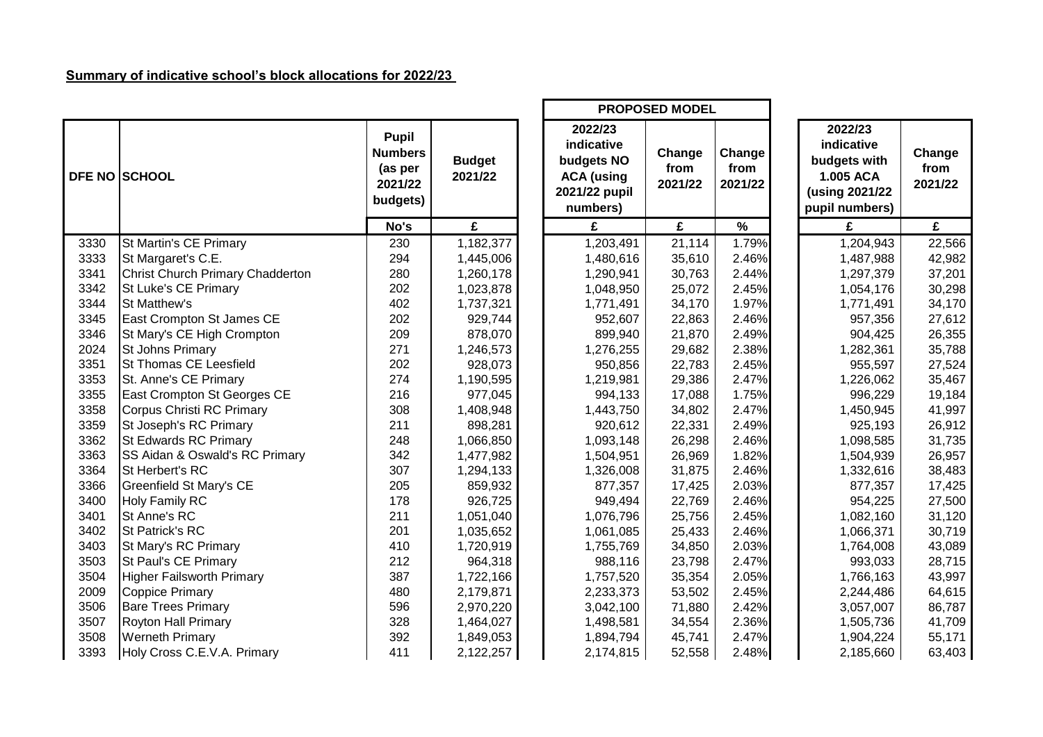## **Summary of indicative school's block allocations for 2022/23**

|      |                                         |                                                                  |                          |                                                                                       | <b>PROPOSED MODEL</b>     |                           |                                                                                        |                           |
|------|-----------------------------------------|------------------------------------------------------------------|--------------------------|---------------------------------------------------------------------------------------|---------------------------|---------------------------|----------------------------------------------------------------------------------------|---------------------------|
|      | <b>DFE NO SCHOOL</b>                    | <b>Pupil</b><br><b>Numbers</b><br>(as per<br>2021/22<br>budgets) | <b>Budget</b><br>2021/22 | 2022/23<br>indicative<br>budgets NO<br><b>ACA</b> (using<br>2021/22 pupil<br>numbers) | Change<br>from<br>2021/22 | Change<br>from<br>2021/22 | 2022/23<br>indicative<br>budgets with<br>1.005 ACA<br>(using 2021/22<br>pupil numbers) | Change<br>from<br>2021/22 |
|      |                                         | No's                                                             | £                        | £                                                                                     | £                         | $\frac{9}{6}$             | £                                                                                      | £                         |
| 3330 | St Martin's CE Primary                  | 230                                                              | 1,182,377                | 1,203,491                                                                             | 21,114                    | 1.79%                     | 1,204,943                                                                              | 22,566                    |
| 3333 | St Margaret's C.E.                      | 294                                                              | 1,445,006                | 1,480,616                                                                             | 35,610                    | 2.46%                     | 1,487,988                                                                              | 42,982                    |
| 3341 | <b>Christ Church Primary Chadderton</b> | 280                                                              | 1,260,178                | 1,290,941                                                                             | 30,763                    | 2.44%                     | 1,297,379                                                                              | 37,201                    |
| 3342 | <b>St Luke's CE Primary</b>             | 202                                                              | 1,023,878                | 1,048,950                                                                             | 25,072                    | 2.45%                     | 1,054,176                                                                              | 30,298                    |
| 3344 | <b>St Matthew's</b>                     | 402                                                              | 1,737,321                | 1,771,491                                                                             | 34,170                    | 1.97%                     | 1,771,491                                                                              | 34,170                    |
| 3345 | East Crompton St James CE               | 202                                                              | 929,744                  | 952,607                                                                               | 22,863                    | 2.46%                     | 957,356                                                                                | 27,612                    |
| 3346 | St Mary's CE High Crompton              | 209                                                              | 878,070                  | 899,940                                                                               | 21,870                    | 2.49%                     | 904,425                                                                                | 26,355                    |
| 2024 | <b>St Johns Primary</b>                 | 271                                                              | 1,246,573                | 1,276,255                                                                             | 29,682                    | 2.38%                     | 1,282,361                                                                              | 35,788                    |
| 3351 | <b>St Thomas CE Leesfield</b>           | 202                                                              | 928,073                  | 950,856                                                                               | 22,783                    | 2.45%                     | 955,597                                                                                | 27,524                    |
| 3353 | St. Anne's CE Primary                   | 274                                                              | 1,190,595                | 1,219,981                                                                             | 29,386                    | 2.47%                     | 1,226,062                                                                              | 35,467                    |
| 3355 | East Crompton St Georges CE             | 216                                                              | 977,045                  | 994,133                                                                               | 17,088                    | 1.75%                     | 996,229                                                                                | 19,184                    |
| 3358 | Corpus Christi RC Primary               | 308                                                              | 1,408,948                | 1,443,750                                                                             | 34,802                    | 2.47%                     | 1,450,945                                                                              | 41,997                    |
| 3359 | St Joseph's RC Primary                  | 211                                                              | 898,281                  | 920,612                                                                               | 22,331                    | 2.49%                     | 925,193                                                                                | 26,912                    |
| 3362 | <b>St Edwards RC Primary</b>            | 248                                                              | 1,066,850                | 1,093,148                                                                             | 26,298                    | 2.46%                     | 1,098,585                                                                              | 31,735                    |
| 3363 | SS Aidan & Oswald's RC Primary          | 342                                                              | 1,477,982                | 1,504,951                                                                             | 26,969                    | 1.82%                     | 1,504,939                                                                              | 26,957                    |
| 3364 | St Herbert's RC                         | 307                                                              | 1,294,133                | 1,326,008                                                                             | 31,875                    | 2.46%                     | 1,332,616                                                                              | 38,483                    |
| 3366 | <b>Greenfield St Mary's CE</b>          | 205                                                              | 859,932                  | 877,357                                                                               | 17,425                    | 2.03%                     | 877,357                                                                                | 17,425                    |
| 3400 | <b>Holy Family RC</b>                   | 178                                                              | 926,725                  | 949,494                                                                               | 22,769                    | 2.46%                     | 954,225                                                                                | 27,500                    |
| 3401 | St Anne's RC                            | 211                                                              | 1,051,040                | 1,076,796                                                                             | 25,756                    | 2.45%                     | 1,082,160                                                                              | 31,120                    |
| 3402 | <b>St Patrick's RC</b>                  | 201                                                              | 1,035,652                | 1,061,085                                                                             | 25,433                    | 2.46%                     | 1,066,371                                                                              | 30,719                    |
| 3403 | St Mary's RC Primary                    | 410                                                              | 1,720,919                | 1,755,769                                                                             | 34,850                    | 2.03%                     | 1,764,008                                                                              | 43,089                    |
| 3503 | St Paul's CE Primary                    | 212                                                              | 964,318                  | 988,116                                                                               | 23,798                    | 2.47%                     | 993,033                                                                                | 28,715                    |
| 3504 | <b>Higher Failsworth Primary</b>        | 387                                                              | 1,722,166                | 1,757,520                                                                             | 35,354                    | 2.05%                     | 1,766,163                                                                              | 43,997                    |
| 2009 | <b>Coppice Primary</b>                  | 480                                                              | 2,179,871                | 2,233,373                                                                             | 53,502                    | 2.45%                     | 2,244,486                                                                              | 64,615                    |
| 3506 | <b>Bare Trees Primary</b>               | 596                                                              | 2,970,220                | 3,042,100                                                                             | 71,880                    | 2.42%                     | 3,057,007                                                                              | 86,787                    |
| 3507 | <b>Royton Hall Primary</b>              | 328                                                              | 1,464,027                | 1,498,581                                                                             | 34,554                    | 2.36%                     | 1,505,736                                                                              | 41,709                    |
| 3508 | <b>Werneth Primary</b>                  | 392                                                              | 1,849,053                | 1,894,794                                                                             | 45,741                    | 2.47%                     | 1,904,224                                                                              | 55,171                    |
| 3393 | Holy Cross C.E.V.A. Primary             | 411                                                              | 2,122,257                | 2,174,815                                                                             | 52,558                    | 2.48%                     | 2,185,660                                                                              | 63,403                    |

| Change<br>from<br>2021/22 | 2022/23<br>indicative<br>budgets with<br>1.005 ACA<br>(using 2021/22<br>pupil numbers) | Change<br>from<br>2021/22 |
|---------------------------|----------------------------------------------------------------------------------------|---------------------------|
| %                         | £                                                                                      | £                         |
| 1.79%                     | 1,204,943                                                                              | 22,566                    |
| 2.46%                     | 1,487,988                                                                              | 42,982                    |
| 2.44%                     | 1,297,379                                                                              | 37,201                    |
| 2.45%                     | 1,054,176                                                                              | 30,298                    |
| 1.97%                     | 1,771,491                                                                              | 34,170                    |
| 2.46%                     | 957,356                                                                                | 27,612                    |
| 2.49%                     | 904,425                                                                                | 26,355                    |
| 2.38%                     | 1,282,361                                                                              | 35,788                    |
| 2.45%                     | 955,597                                                                                | 27,524                    |
| 2.47%                     | 1,226,062                                                                              | 35,467                    |
| 1.75%                     | 996,229                                                                                | 19,184                    |
| 2.47%                     | 1,450,945                                                                              | 41,997                    |
| 2.49%                     | 925,193                                                                                | 26,912                    |
| 2.46%                     | 1,098,585                                                                              | 31,735                    |
| 1.82%                     | 1,504,939                                                                              | 26,957                    |
| 2.46%                     | 1,332,616                                                                              | 38,483                    |
| 2.03%                     | 877,357                                                                                | 17,425                    |
| 2.46%                     | 954,225                                                                                | 27,500                    |
| 2.45%                     | 1,082,160                                                                              | 31,120                    |
| 2.46%                     | 1,066,371                                                                              | 30,719                    |
| 2.03%                     | 1,764,008                                                                              | 43,089                    |
| 2.47%                     | 993,033                                                                                | 28,715                    |
| 2.05%                     | 1,766,163                                                                              | 43,997                    |
| 2.45%                     | 2,244,486                                                                              | 64,615                    |
| 2.42%                     | 3,057,007                                                                              | 86,787                    |
| 2.36%                     | 1,505,736                                                                              | 41,709                    |
| 0.470/                    | , oo i oo i                                                                            | EE 474                    |